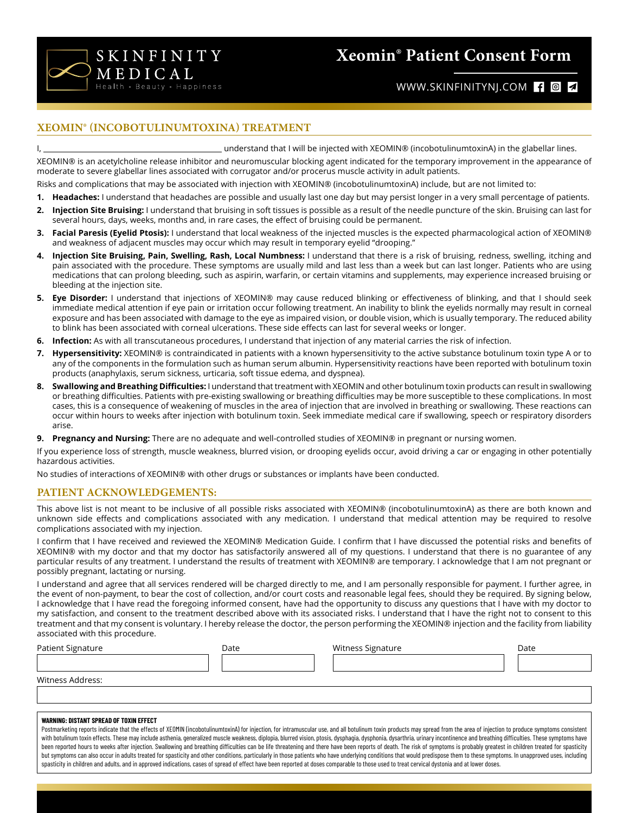

# **Xeomin® Patient Consent Form**

# WWW.SKINFINITYNJ.COM **f d 4**

# **XEOMIN® (INCOBOTULINUMTOXINA) TREATMENT**

I, understand that I will be injected with XEOMIN® (incobotulinumtoxinA) in the glabellar lines.

XEOMIN® is an acetylcholine release inhibitor and neuromuscular blocking agent indicated for the temporary improvement in the appearance of moderate to severe glabellar lines associated with corrugator and/or procerus muscle activity in adult patients.

- Risks and complications that may be associated with injection with XEOMIN® (incobotulinumtoxinA) include, but are not limited to:
- **1. Headaches:** I understand that headaches are possible and usually last one day but may persist longer in a very small percentage of patients.
- **2. Injection Site Bruising:** I understand that bruising in soft tissues is possible as a result of the needle puncture of the skin. Bruising can last for several hours, days, weeks, months and, in rare cases, the effect of bruising could be permanent.
- **3. Facial Paresis (Eyelid Ptosis):** I understand that local weakness of the injected muscles is the expected pharmacological action of XEOMIN® and weakness of adjacent muscles may occur which may result in temporary eyelid "drooping."
- **4. Injection Site Bruising, Pain, Swelling, Rash, Local Numbness:** I understand that there is a risk of bruising, redness, swelling, itching and pain associated with the procedure. These symptoms are usually mild and last less than a week but can last longer. Patients who are using medications that can prolong bleeding, such as aspirin, warfarin, or certain vitamins and supplements, may experience increased bruising or bleeding at the injection site.
- **5. Eye Disorder:** I understand that injections of XEOMIN® may cause reduced blinking or effectiveness of blinking, and that I should seek immediate medical attention if eye pain or irritation occur following treatment. An inability to blink the eyelids normally may result in corneal exposure and has been associated with damage to the eye as impaired vision, or double vision, which is usually temporary. The reduced ability to blink has been associated with corneal ulcerations. These side effects can last for several weeks or longer.
- **6. Infection:** As with all transcutaneous procedures, I understand that injection of any material carries the risk of infection.
- **7. Hypersensitivity:** XEOMIN® is contraindicated in patients with a known hypersensitivity to the active substance botulinum toxin type A or to any of the components in the formulation such as human serum albumin. Hypersensitivity reactions have been reported with botulinum toxin products (anaphylaxis, serum sickness, urticaria, soft tissue edema, and dyspnea).
- **8. Swallowing and Breathing Difficulties:** I understand that treatment with XEOMIN and other botulinum toxin products can result in swallowing or breathing difficulties. Patients with pre-existing swallowing or breathing difficulties may be more susceptible to these complications. In most cases, this is a consequence of weakening of muscles in the area of injection that are involved in breathing or swallowing. These reactions can occur within hours to weeks after injection with botulinum toxin. Seek immediate medical care if swallowing, speech or respiratory disorders arise.

**9. Pregnancy and Nursing:** There are no adequate and well-controlled studies of XEOMIN® in pregnant or nursing women.

If you experience loss of strength, muscle weakness, blurred vision, or drooping eyelids occur, avoid driving a car or engaging in other potentially hazardous activities.

No studies of interactions of XEOMIN® with other drugs or substances or implants have been conducted.

#### **PATIENT ACKNOWLEDGEMENTS:**

This above list is not meant to be inclusive of all possible risks associated with XEOMIN® (incobotulinumtoxinA) as there are both known and unknown side effects and complications associated with any medication. I understand that medical attention may be required to resolve complications associated with my injection.

I confirm that I have received and reviewed the XEOMIN® Medication Guide. I confirm that I have discussed the potential risks and benefits of XEOMIN® with my doctor and that my doctor has satisfactorily answered all of my questions. I understand that there is no guarantee of any particular results of any treatment. I understand the results of treatment with XEOMIN® are temporary. I acknowledge that I am not pregnant or possibly pregnant, lactating or nursing.

I understand and agree that all services rendered will be charged directly to me, and I am personally responsible for payment. I further agree, in the event of non-payment, to bear the cost of collection, and/or court costs and reasonable legal fees, should they be required. By signing below, I acknowledge that I have read the foregoing informed consent, have had the opportunity to discuss any questions that I have with my doctor to my satisfaction, and consent to the treatment described above with its associated risks. I understand that I have the right not to consent to this treatment and that my consent is voluntary. I hereby release the doctor, the person performing the XEOMIN® injection and the facility from liability associated with this procedure.

| Patient Signature | Date | Witness Signature | Date |
|-------------------|------|-------------------|------|
|                   |      |                   |      |
| Witness Address:  |      |                   |      |
|                   |      |                   |      |

#### **WARNING: DISTANT SPREAD OF TOXIN EFFECT**

Postmarketing reports indicate that the effects of XEOMIN (incobotulinumtoxinA) for injection, for intramuscular use, and all botulinum toxin products may spread from the area of injection to produce symptoms consistent with botulinum toxin effects. These may include asthenia, generalized muscle weakness, diplopia, blurred vision, ptosis, dysphagia, dysphonia, dysarthria, urinary incontinence and breathing difficulties. These symptoms have been reported hours to weeks after injection. Swallowing and breathing difficulties can be life threatening and there have been reports of death. The risk of symptoms is probably greatest in children treated for spasticity but symptoms can also occur in adults treated for spasticity and other conditions, particularly in those patients who have underlying conditions that would predispose them to these symptoms. In unapproved uses, including spasticity in children and adults, and in approved indications, cases of spread of effect have been reported at doses comparable to those used to treat cervical dystonia and at lower doses.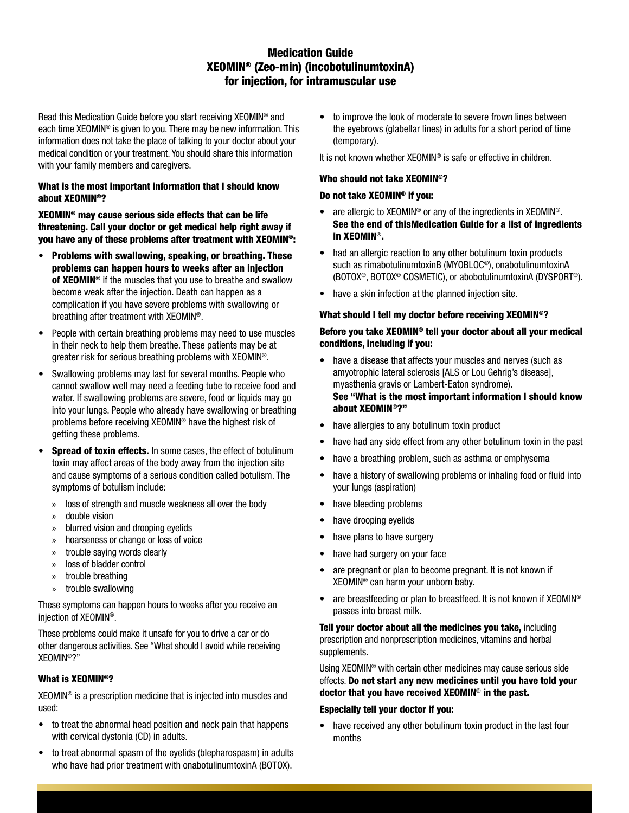# **Medication Guide** XEOMIN<sup>®</sup> (Zeo-min) (incobotulinumtoxinA) for injection, for intramuscular use

Read this Medication Guide before you start receiving XEOMIN® and each time XEOMIN<sup>®</sup> is given to you. There may be new information. This information does not take the place of talking to your doctor about your medical condition or your treatment. You should share this information with your family members and caregivers.

# What is the most important information that I should know about XEOMIN<sup>®</sup>?

XEOMIN<sup>®</sup> may cause serious side effects that can be life threatening. Call your doctor or get medical help right away if you have any of these problems after treatment with XEOMIN®:

- Problems with swallowing, speaking, or breathing. These problems can happen hours to weeks after an injection of XEOMIN<sup>®</sup> if the muscles that you use to breathe and swallow become weak after the injection. Death can happen as a complication if you have severe problems with swallowing or breathing after treatment with XEOMIN®.
- People with certain breathing problems may need to use muscles in their neck to help them breathe. These patients may be at greater risk for serious breathing problems with XEOMIN®.
- Swallowing problems may last for several months. People who cannot swallow well may need a feeding tube to receive food and water. If swallowing problems are severe, food or liquids may go into your lungs. People who already have swallowing or breathing problems before receiving XEOMIN<sup>®</sup> have the highest risk of getting these problems.
- Spread of toxin effects. In some cases, the effect of botulinum  $\bullet$ toxin may affect areas of the body away from the injection site and cause symptoms of a serious condition called botulism. The symptoms of botulism include:
	- loss of strength and muscle weakness all over the body  $\mathcal{D}$
	- double vision  $\mathcal{P}$
	- blurred vision and drooping evelids
	- hoarseness or change or loss of voice  $\mathcal{D}$
	- trouble saying words clearly  $\mathcal{D}$
	- loss of bladder control  $\mathbf{v}$
	- trouble breathing  $\mathcal{V}$
	- trouble swallowing  $\mathcal{D}$

These symptoms can happen hours to weeks after you receive an iniection of XEOMIN®.

These problems could make it unsafe for you to drive a car or do other dangerous activities. See "What should I avoid while receiving XFOMIN®?"

# What is XEOMIN<sup>®</sup>?

XEOMIN<sup>®</sup> is a prescription medicine that is injected into muscles and used:

- to treat the abnormal head position and neck pain that happens with cervical dystonia (CD) in adults.
- to treat abnormal spasm of the evelids (blepharospasm) in adults who have had prior treatment with onabotulinumtoxinA (BOTOX).

to improve the look of moderate to severe frown lines between  $\bullet$ the eyebrows (glabellar lines) in adults for a short period of time (temporary).

It is not known whether XEOMIN<sup>®</sup> is safe or effective in children.

#### Who should not take XEOMIN<sup>®</sup>?

#### Do not take XEOMIN<sup>®</sup> if you:

- are allergic to XEOMIN<sup>®</sup> or any of the ingredients in XEOMIN<sup>®</sup>. See the end of this Medication Guide for a list of ingredients in XEOMIN<sup>®</sup>.
- had an allergic reaction to any other botulinum toxin products such as rimabotulinumtoxinB (MYOBLOC<sup>®</sup>), onabotulinumtoxinA (BOTOX<sup>®</sup>, BOTOX<sup>®</sup> COSMETIC), or abobotulinumtoxinA (DYSPORT<sup>®</sup>).
- have a skin infection at the planned injection site.

#### What should I tell my doctor before receiving XEOMIN®?

# Before you take XEOMIN<sup>®</sup> tell your doctor about all your medical conditions, including if you:

- have a disease that affects your muscles and nerves (such as amyotrophic lateral sclerosis [ALS or Lou Gehrig's disease], myasthenia gravis or Lambert-Eaton syndrome). See "What is the most important information I should know about XEOMIN<sup>®</sup>?"
- have allergies to any botulinum toxin product
- have had any side effect from any other botulinum toxin in the past
- have a breathing problem, such as asthma or emphysema
- have a history of swallowing problems or inhaling food or fluid into  $\bullet$ your lungs (aspiration)
- have bleeding problems
- have drooping eyelids
- have plans to have surgery
- have had surgery on your face
- are pregnant or plan to become pregnant. It is not known if  $\bullet$ XEOMIN<sup>®</sup> can harm your unborn baby.
- are breastfeeding or plan to breastfeed. It is not known if XEOMIN® passes into breast milk.

Tell your doctor about all the medicines you take, including prescription and nonprescription medicines, vitamins and herbal supplements.

Using XEOMIN<sup>®</sup> with certain other medicines may cause serious side effects. Do not start any new medicines until you have told your doctor that you have received  $XEOMIN^{\circledcirc}$  in the past.

#### **Especially tell your doctor if you:**

• have received any other botulinum toxin product in the last four months